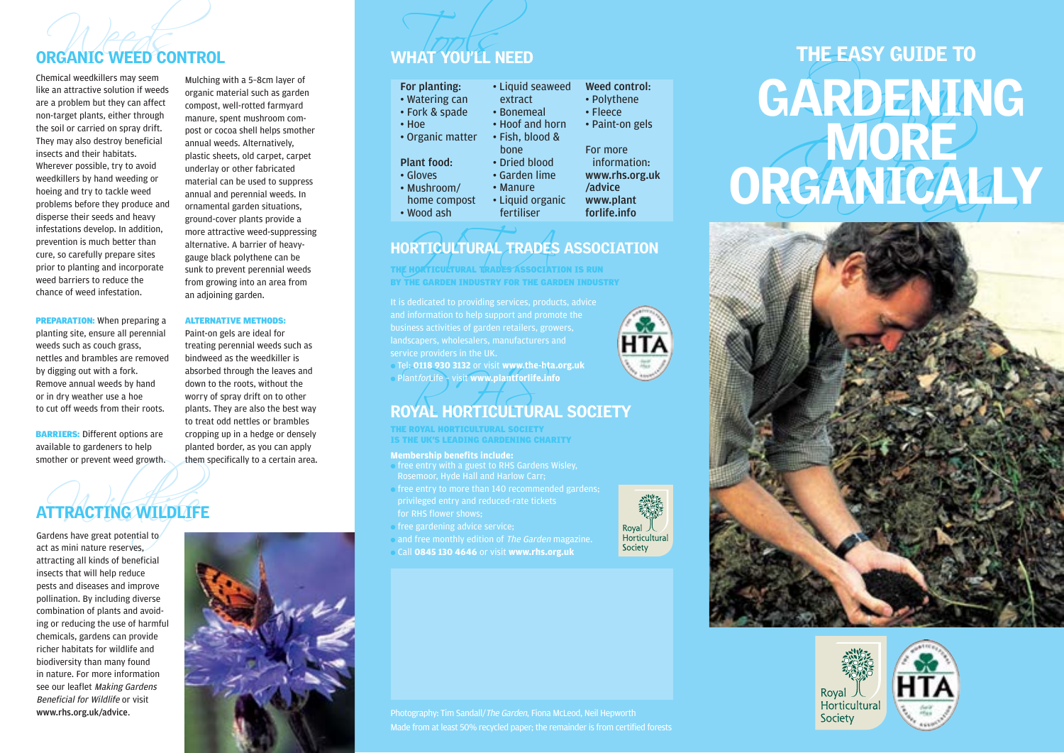## Weeds Tools ORGANIC WEED CONTROL WHAT YOU'LL NEED

weed barriers to reduce the chance of weed infestation.

**PREPARATION:** When preparing a planting site, ensure all perennial weeds such as couch grass, nettles and brambles are removed by digging out with a fork. Remove annual weeds by hand or in dry weather use a hoe to cut off weeds from their roots. BARRIERS: Different options are available to gardeners to help smother or prevent weed growth.

Mulching with a 5–8cm layer of organic material such as garden compost, well-rotted farmyard manure, spent mushroom compost or cocoa shell helps smother annual weeds. Alternatively, plastic sheets, old carpet, carpet underlay or other fabricated material can be used to suppress annual and perennial weeds. In ornamental garden situations, ground-cover plants provide a more attractive weed-suppressing alternative. A barrier of heavygauge black polythene can be sunk to prevent perennial weeds from growing into an area from an adjoining garden.

### ALTERNATIVE METHODS:

Paint-on gels are ideal for treating perennial weeds such as bindweed as the weedkiller is absorbed through the leaves and down to the roots, without the worry of spray drift on to other plants. They are also the best way to treat odd nettles or brambles cropping up in a hedge or densely planted border, as you can apply them specifically to a certain area.

# TTRACTING WILDLIFE ATTRACTING WILDLIFE

Gardens have great potential to act as mini nature reserves, attracting all kinds of beneficial insects that will help reduce pests and diseases and improve pollination. By including diverse combination of plants and avoiding or reducing the use of harmful chemicals, gardens can provide richer habitats for wildlife and biodiversity than many found in nature. For more information see our leaflet Making Gardens Beneficial for Wildlife or visit www.rhs.org.uk/advice.



| • Liquid seaweed | <b>Weed control:</b> |
|------------------|----------------------|
| extract          | • Polythene          |
| • Bonemeal       | • Fleece             |
| • Hoof and horn  | • Paint-on gels      |
| • Fish, blood &  |                      |
| bone             | For more             |
| • Dried blood    | information:         |
| • Garden lime    | www.rhs.org.uk       |
| • Manure         | /advice              |
| • Liquid organic | www.plant            |
| fertiliser       | forlife.info         |
|                  |                      |

## ORTICULTURAL TRADES HORTICULTURAL TRADES ASSOCIATION

THE HORTICULTURAL TRADES ASSOCIATION IS RUN BY THE GARDEN INDUSTRY FOR THE GARDEN INDUSTRY

● Tel: **0118 930 3132** or visit **www.the-hta.org.uk** ● PlantforLife – visit **www.plantforlife.info**

# Plant*for*Life Sau Sisz of Visit www.the-hta.org.uk<br>Plant*forLife* Svisit www.plantforlife.info<br>ROYAL HORTICULTURAL SOCIETY

THE ROYAL HORTICULTURAL SOCIETY IS THE UK'S LEADING GARDENING CHARITY

### **Membership benefits include:**

- free entry with a guest to RHS Gardens Wisley, Rosemoor, Hyde Hall and Harlow Carr;
- free entry to more than 140 recommended gardens; for RHS flower shows;
- free gardening advice service;
- and free monthly edition of The Garden magazine.
- Call **0845 130 4646** or visit **www.rhs.org.uk**



**EXERCANTE WEED CONTROL**<br>
Electrical valenced interest and the comparison of the and and the comparison of the and and the set of the comparison of the comparison of the comparison of the comparison of the comparison of th





Made from at least 50% recycled paper; the remainder is from certified forests

Royal J<br>Horticultural Society